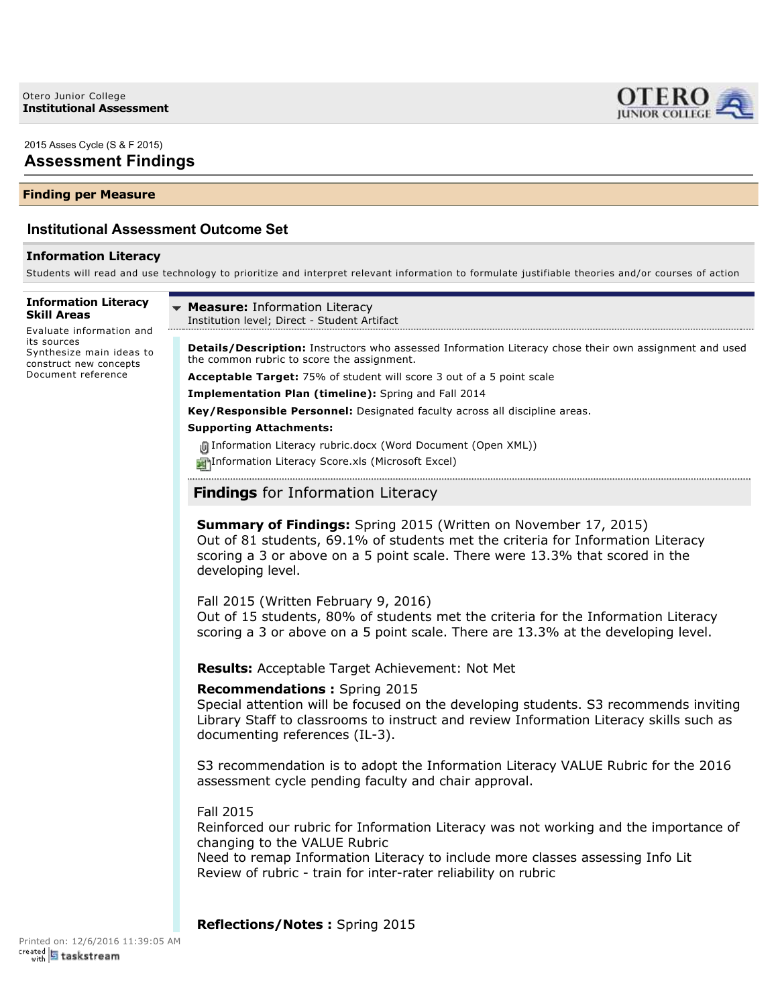2015 Asses Cycle (S & F 2015)

# **Assessment Findings**

# **Finding per Measure**

# **Institutional Assessment Outcome Set**

# **Information Literacy**

Students will read and use technology to prioritize and interpret relevant information to formulate justifiable theories and/or courses of action

**Information Literacy Skill Areas**

Evaluate information and its sources Synthesize main ideas to construct new concepts Document reference

**Measure:** Information Literacy Institution level; Direct - Student Artifact

**Details/Description:** Instructors who assessed Information Literacy chose their own assignment and used the common rubric to score the assignment.

LERO. **JUNIOR COLLEGE** 

**Acceptable Target:** 75% of student will score 3 out of a 5 point scale

**Implementation Plan (timeline):** Spring and Fall 2014

**Key/Responsible Personnel:** Designated faculty across all discipline areas.

#### **Supporting Attachments:**

Information Literacy rubric.docx (Word Document (Open XML))

Information Literacy Score.xls (Microsoft Excel)

**Findings** for Information Literacy

**Summary of Findings:** Spring 2015 (Written on November 17, 2015) Out of 81 students, 69.1% of students met the criteria for Information Literacy scoring a 3 or above on a 5 point scale. There were 13.3% that scored in the developing level.

Fall 2015 (Written February 9, 2016) Out of 15 students, 80% of students met the criteria for the Information Literacy scoring a 3 or above on a 5 point scale. There are 13.3% at the developing level.

**Results:** Acceptable Target Achievement: Not Met

#### **Recommendations :** Spring 2015

Special attention will be focused on the developing students. S3 recommends inviting Library Staff to classrooms to instruct and review Information Literacy skills such as documenting references (IL-3).

S3 recommendation is to adopt the Information Literacy VALUE Rubric for the 2016 assessment cycle pending faculty and chair approval.

#### Fall 2015

Reinforced our rubric for Information Literacy was not working and the importance of changing to the VALUE Rubric

Need to remap Information Literacy to include more classes assessing Info Lit Review of rubric - train for inter-rater reliability on rubric

**Reflections/Notes :** Spring 2015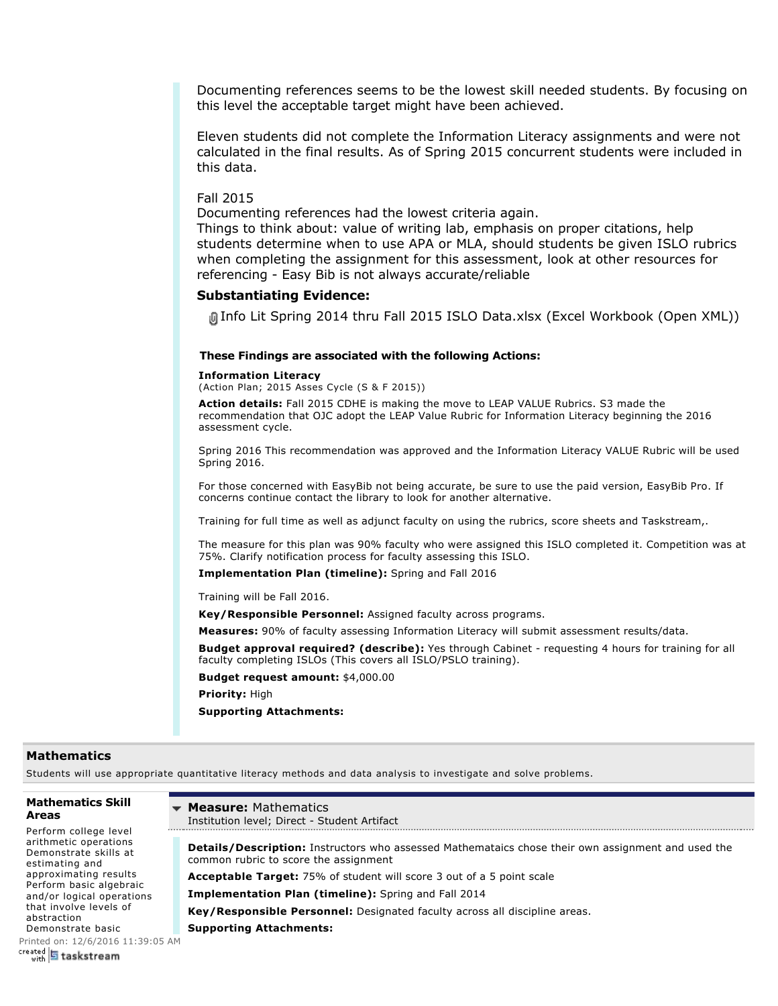Documenting references seems to be the lowest skill needed students. By focusing on this level the acceptable target might have been achieved.

Eleven students did not complete the Information Literacy assignments and were not calculated in the final results. As of Spring 2015 concurrent students were included in this data.

Fall 2015

Documenting references had the lowest criteria again.

Things to think about: value of writing lab, emphasis on proper citations, help students determine when to use APA or MLA, should students be given ISLO rubrics when completing the assignment for this assessment, look at other resources for referencing - Easy Bib is not always accurate/reliable

#### **Substantiating Evidence:**

Info Lit Spring 2014 thru Fall 2015 ISLO Data.xlsx (Excel Workbook (Open XML))

#### **These Findings are associated with the following Actions:**

#### **Information Literacy**

(Action Plan; 2015 Asses Cycle (S & F 2015))

**Action details:** Fall 2015 CDHE is making the move to LEAP VALUE Rubrics. S3 made the recommendation that OJC adopt the LEAP Value Rubric for Information Literacy beginning the 2016 assessment cycle.

Spring 2016 This recommendation was approved and the Information Literacy VALUE Rubric will be used Spring 2016.

For those concerned with EasyBib not being accurate, be sure to use the paid version, EasyBib Pro. If concerns continue contact the library to look for another alternative.

Training for full time as well as adjunct faculty on using the rubrics, score sheets and Taskstream,.

The measure for this plan was 90% faculty who were assigned this ISLO completed it. Competition was at 75%. Clarify notification process for faculty assessing this ISLO.

**Implementation Plan (timeline):** Spring and Fall 2016

Training will be Fall 2016.

**Key/Responsible Personnel:** Assigned faculty across programs.

**Measures:** 90% of faculty assessing Information Literacy will submit assessment results/data.

**Budget approval required? (describe):** Yes through Cabinet requesting 4 hours for training for all faculty completing ISLOs (This covers all ISLO/PSLO training).

**Budget request amount:** \$4,000.00

**Priority:** High

**Supporting Attachments:**

#### **Mathematics**

Students will use appropriate quantitative literacy methods and data analysis to investigate and solve problems.

### **Mathematics Skill Areas**

Perform college level arithmetic operations Demonstrate skills at estimating and approximating results Perform basic algebraic and/or logical operations that involve levels of abstraction

Demonstrate basic [Printed on: 12/6/2016](https://www.taskstream.com/) 11:39:05 AM<br>
with **5 taskstream** 

**Measure:** Mathematics  $\overline{\phantom{a}}$ 

Institution level; Direct - Student Artifact

**Details/Description:** Instructors who assessed Mathemataics chose their own assignment and used the common rubric to score the assignment

**Acceptable Target:** 75% of student will score 3 out of a 5 point scale

**Implementation Plan (timeline):** Spring and Fall 2014

**Key/Responsible Personnel:** Designated faculty across all discipline areas.

**Supporting Attachments:**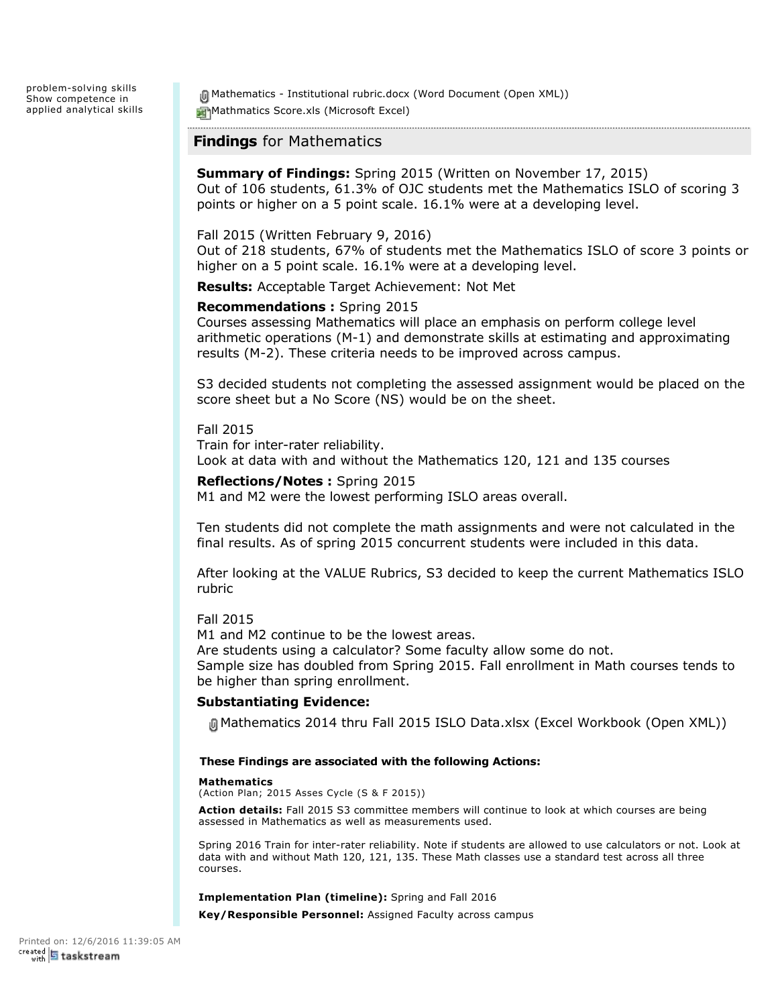problem-solving skills Show competence in applied analytical skills

**间 Mathematics - Institutional rubric.docx (Word Document (Open XML))** Mathmatics Score.xls (Microsoft Excel)

# **Findings** for Mathematics

**Summary of Findings:** Spring 2015 (Written on November 17, 2015) Out of 106 students, 61.3% of OJC students met the Mathematics ISLO of scoring 3 points or higher on a 5 point scale. 16.1% were at a developing level.

### Fall 2015 (Written February 9, 2016)

Out of 218 students, 67% of students met the Mathematics ISLO of score 3 points or higher on a 5 point scale. 16.1% were at a developing level.

**Results:** Acceptable Target Achievement: Not Met

### **Recommendations :** Spring 2015

Courses assessing Mathematics will place an emphasis on perform college level arithmetic operations (M-1) and demonstrate skills at estimating and approximating results (M-2). These criteria needs to be improved across campus.

S3 decided students not completing the assessed assignment would be placed on the score sheet but a No Score (NS) would be on the sheet.

#### Fall 2015

Train for inter-rater reliability. Look at data with and without the Mathematics 120, 121 and 135 courses

### **Reflections/Notes :** Spring 2015

M1 and M2 were the lowest performing ISLO areas overall.

Ten students did not complete the math assignments and were not calculated in the final results. As of spring 2015 concurrent students were included in this data.

After looking at the VALUE Rubrics, S3 decided to keep the current Mathematics ISLO rubric

### Fall 2015

M1 and M2 continue to be the lowest areas.

Are students using a calculator? Some faculty allow some do not. Sample size has doubled from Spring 2015. Fall enrollment in Math courses tends to be higher than spring enrollment.

### **Substantiating Evidence:**

Mathematics 2014 thru Fall 2015 ISLO Data.xlsx (Excel Workbook (Open XML))

#### **These Findings are associated with the following Actions:**

#### **Mathematics**

(Action Plan; 2015 Asses Cycle (S & F 2015))

**Action details:** Fall 2015 S3 committee members will continue to look at which courses are being assessed in Mathematics as well as measurements used.

Spring 2016 Train for inter-rater reliability. Note if students are allowed to use calculators or not. Look at data with and without Math 120, 121, 135. These Math classes use a standard test across all three courses.

**Implementation Plan (timeline):** Spring and Fall 2016

**Key/Responsible Personnel:** Assigned Faculty across campus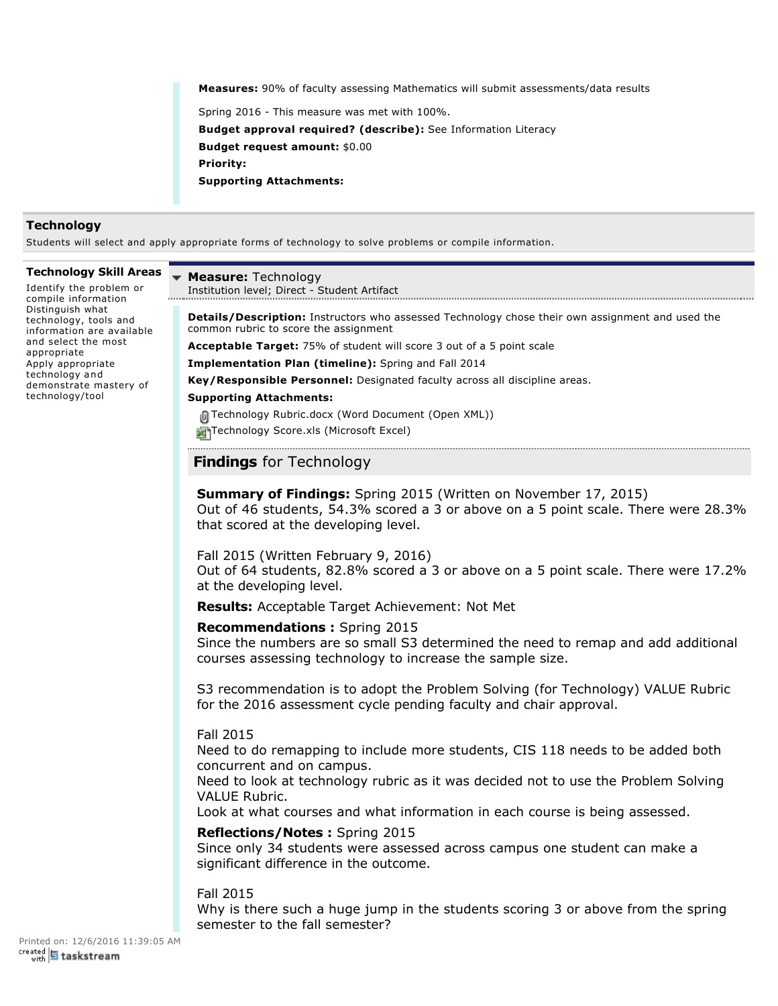**Measures:** 90% of faculty assessing Mathematics will submit assessments/data results

Spring 2016 - This measure was met with 100%. **Budget approval required? (describe):** See Information Literacy **Budget request amount:** \$0.00 **Priority: Supporting Attachments:**

### **Technology**

Students will select and apply appropriate forms of technology to solve problems or compile information.

#### **Technology Skill Areas**

Identify the problem or compile information Distinguish what technology, tools and information are available and select the most appropriate Apply appropriate technology and demonstrate mastery of technology/tool

## **Measure:** Technology

. . . . . .

Institution level; Direct - Student Artifact

**Details/Description:** Instructors who assessed Technology chose their own assignment and used the common rubric to score the assignment

**Acceptable Target:** 75% of student will score 3 out of a 5 point scale

**Implementation Plan (timeline):** Spring and Fall 2014

**Key/Responsible Personnel:** Designated faculty across all discipline areas.

#### **Supporting Attachments:**

**间 Technology Rubric.docx (Word Document (Open XML))** 

Technology Score.xls (Microsoft Excel)

# **Findings** for Technology

# **Summary of Findings:** Spring 2015 (Written on November 17, 2015)

Out of 46 students, 54.3% scored a 3 or above on a 5 point scale. There were 28.3% that scored at the developing level.

### Fall 2015 (Written February 9, 2016)

Out of 64 students, 82.8% scored a 3 or above on a 5 point scale. There were 17.2% at the developing level.

**Results:** Acceptable Target Achievement: Not Met

### **Recommendations :** Spring 2015

Since the numbers are so small S3 determined the need to remap and add additional courses assessing technology to increase the sample size.

S3 recommendation is to adopt the Problem Solving (for Technology) VALUE Rubric for the 2016 assessment cycle pending faculty and chair approval.

### Fall 2015

Need to do remapping to include more students, CIS 118 needs to be added both concurrent and on campus.

Need to look at technology rubric as it was decided not to use the Problem Solving VALUE Rubric.

Look at what courses and what information in each course is being assessed.

### **Reflections/Notes :** Spring 2015

Since only 34 students were assessed across campus one student can make a significant difference in the outcome.

# Fall 2015

Why is there such a huge jump in the students scoring 3 or above from the spring semester to the fall semester?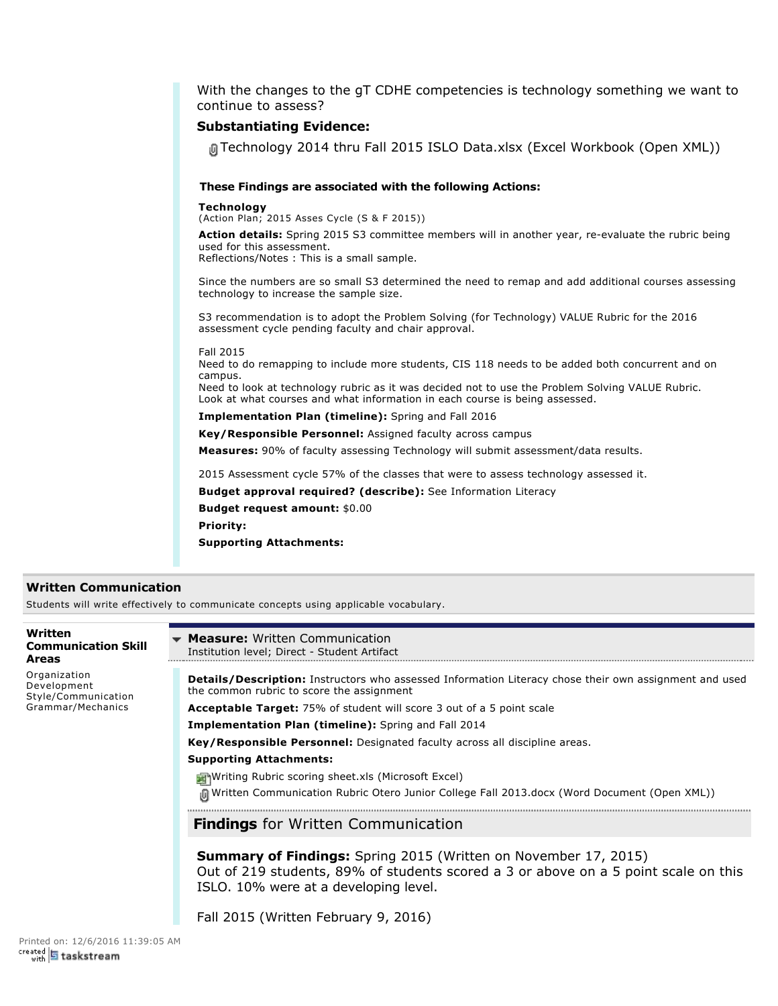With the changes to the gT CDHE competencies is technology something we want to continue to assess?

### **Substantiating Evidence:**

Technology 2014 thru Fall 2015 ISLO Data.xlsx (Excel Workbook (Open XML))

#### **These Findings are associated with the following Actions:**

**Technology**

(Action Plan; 2015 Asses Cycle (S & F 2015))

Action details: Spring 2015 S3 committee members will in another year, re-evaluate the rubric being used for this assessment.

Reflections/Notes : This is a small sample.

Since the numbers are so small S3 determined the need to remap and add additional courses assessing technology to increase the sample size.

S3 recommendation is to adopt the Problem Solving (for Technology) VALUE Rubric for the 2016 assessment cycle pending faculty and chair approval.

#### Fall 2015

Need to do remapping to include more students, CIS 118 needs to be added both concurrent and on campus.

Need to look at technology rubric as it was decided not to use the Problem Solving VALUE Rubric. Look at what courses and what information in each course is being assessed.

**Implementation Plan (timeline):** Spring and Fall 2016

**Key/Responsible Personnel:** Assigned faculty across campus

**Measures:** 90% of faculty assessing Technology will submit assessment/data results.

2015 Assessment cycle 57% of the classes that were to assess technology assessed it.

**Budget approval required? (describe):** See Information Literacy

**Budget request amount:** \$0.00

**Priority:**

**Supporting Attachments:**

### **Written Communication**

Students will write effectively to communicate concepts using applicable vocabulary.

| Written<br><b>Communication Skill</b><br><b>Areas</b>                   | <b>Measure:</b> Written Communication<br>Institution level; Direct - Student Artifact                                                                                                                  |
|-------------------------------------------------------------------------|--------------------------------------------------------------------------------------------------------------------------------------------------------------------------------------------------------|
| Organization<br>Development<br>Style/Communication<br>Grammar/Mechanics | <b>Details/Description:</b> Instructors who assessed Information Literacy chose their own assignment and used<br>the common rubric to score the assignment                                             |
|                                                                         | <b>Acceptable Target:</b> 75% of student will score 3 out of a 5 point scale                                                                                                                           |
|                                                                         | <b>Implementation Plan (timeline):</b> Spring and Fall 2014                                                                                                                                            |
|                                                                         | Key/Responsible Personnel: Designated faculty across all discipline areas.                                                                                                                             |
|                                                                         | <b>Supporting Attachments:</b>                                                                                                                                                                         |
|                                                                         | Writing Rubric scoring sheet.xls (Microsoft Excel)                                                                                                                                                     |
|                                                                         | (Open XML) Written Communication Rubric Otero Junior College Fall 2013.docx (Word Document (Open XML)                                                                                                  |
|                                                                         | <b>Findings</b> for Written Communication                                                                                                                                                              |
|                                                                         | <b>Summary of Findings:</b> Spring 2015 (Written on November 17, 2015)<br>Out of 219 students, 89% of students scored a 3 or above on a 5 point scale on this<br>ISLO. 10% were at a developing level. |
|                                                                         | Fall 2015 (Written February 9, 2016)                                                                                                                                                                   |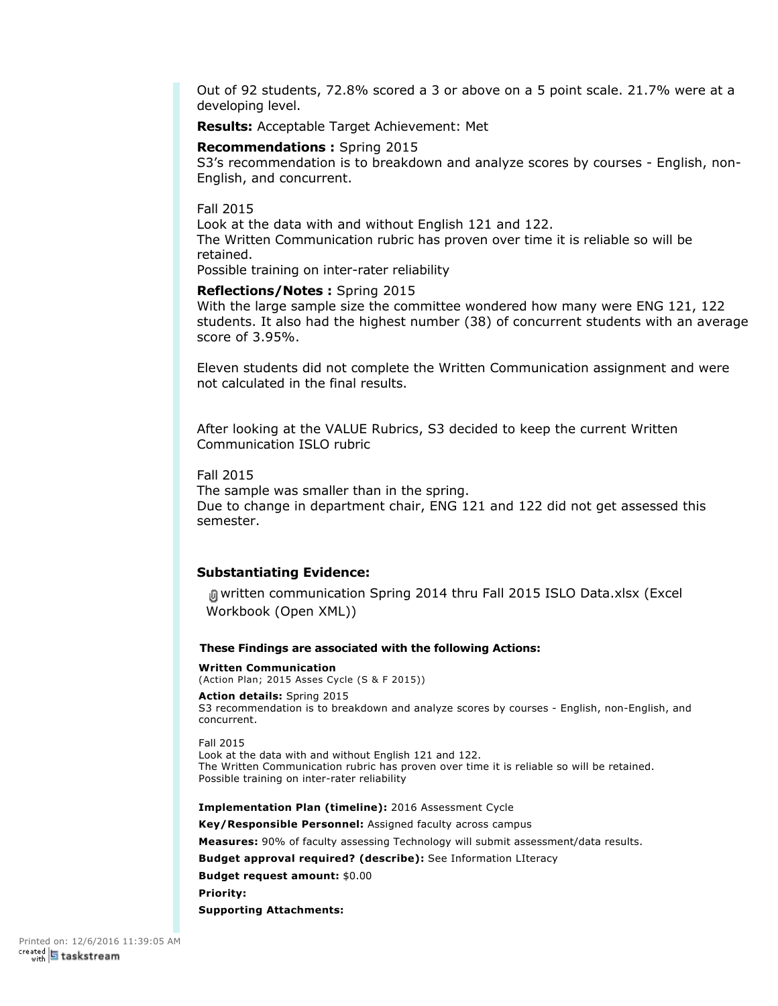Out of 92 students, 72.8% scored a 3 or above on a 5 point scale. 21.7% were at a developing level.

**Results:** Acceptable Target Achievement: Met

**Recommendations :** Spring 2015

S3's recommendation is to breakdown and analyze scores by courses - English, non-English, and concurrent.

Fall 2015

Look at the data with and without English 121 and 122. The Written Communication rubric has proven over time it is reliable so will be retained.

Possible training on inter-rater reliability

**Reflections/Notes :** Spring 2015

With the large sample size the committee wondered how many were ENG 121, 122 students. It also had the highest number (38) of concurrent students with an average score of 3.95%.

Eleven students did not complete the Written Communication assignment and were not calculated in the final results.

After looking at the VALUE Rubrics, S3 decided to keep the current Written Communication ISLO rubric

Fall 2015

The sample was smaller than in the spring. Due to change in department chair, ENG 121 and 122 did not get assessed this semester.

### **Substantiating Evidence:**

written communication Spring 2014 thru Fall 2015 ISLO Data.xlsx (Excel Workbook (Open XML))

#### **These Findings are associated with the following Actions:**

**Written Communication** (Action Plan; 2015 Asses Cycle (S & F 2015))

**Action details:** Spring 2015 S3 recommendation is to breakdown and analyze scores by courses - English, non-English, and concurrent.

Fall 2015 Look at the data with and without English 121 and 122. The Written Communication rubric has proven over time it is reliable so will be retained. Possible training on inter-rater reliability

**Implementation Plan (timeline):** 2016 Assessment Cycle

**Key/Responsible Personnel:** Assigned faculty across campus

**Measures:** 90% of faculty assessing Technology will submit assessment/data results.

**Budget approval required? (describe):** See Information LIteracy

**Budget request amount:** \$0.00

**Priority:**

**Supporting Attachments:**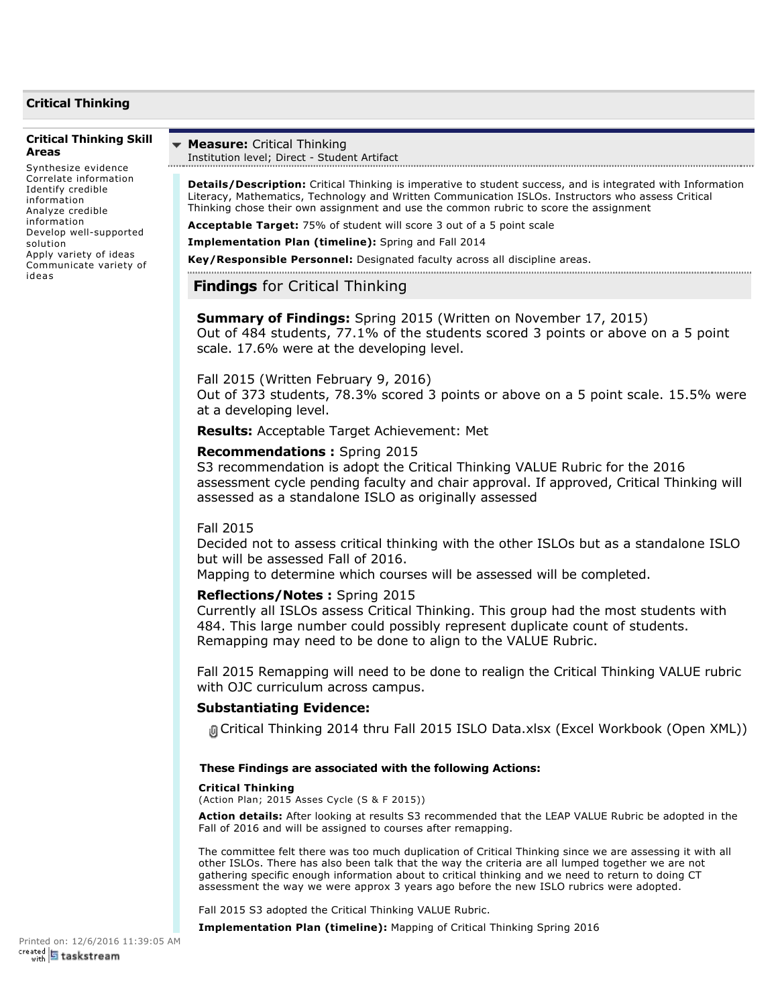## **Critical Thinking**

#### **Critical Thinking Skill Areas**

Synthesize evidence Correlate information Identify credible information Analyze credible information Develop well-supported solution Apply variety of ideas Communicate variety of ideas

#### **Measure:** Critical Thinking ÷ Institution level; Direct - Student Artifact

**Details/Description:** Critical Thinking is imperative to student success, and is integrated with Information Literacy, Mathematics, Technology and Written Communication ISLOs. Instructors who assess Critical Thinking chose their own assignment and use the common rubric to score the assignment

**Acceptable Target:** 75% of student will score 3 out of a 5 point scale

**Implementation Plan (timeline):** Spring and Fall 2014

**Key/Responsible Personnel:** Designated faculty across all discipline areas.

# **Findings** for Critical Thinking

**Summary of Findings:** Spring 2015 (Written on November 17, 2015) Out of 484 students, 77.1% of the students scored 3 points or above on a 5 point scale. 17.6% were at the developing level.

### Fall 2015 (Written February 9, 2016)

Out of 373 students, 78.3% scored 3 points or above on a 5 point scale. 15.5% were at a developing level.

**Results:** Acceptable Target Achievement: Met

### **Recommendations :** Spring 2015

S3 recommendation is adopt the Critical Thinking VALUE Rubric for the 2016 assessment cycle pending faculty and chair approval. If approved, Critical Thinking will assessed as a standalone ISLO as originally assessed

### Fall 2015

Decided not to assess critical thinking with the other ISLOs but as a standalone ISLO but will be assessed Fall of 2016.

Mapping to determine which courses will be assessed will be completed.

### **Reflections/Notes :** Spring 2015

Currently all ISLOs assess Critical Thinking. This group had the most students with 484. This large number could possibly represent duplicate count of students. Remapping may need to be done to align to the VALUE Rubric.

Fall 2015 Remapping will need to be done to realign the Critical Thinking VALUE rubric with OJC curriculum across campus.

### **Substantiating Evidence:**

Critical Thinking 2014 thru Fall 2015 ISLO Data.xlsx (Excel Workbook (Open XML))

#### **These Findings are associated with the following Actions:**

#### **Critical Thinking**

(Action Plan; 2015 Asses Cycle (S & F 2015))

**Action details:** After looking at results S3 recommended that the LEAP VALUE Rubric be adopted in the Fall of 2016 and will be assigned to courses after remapping.

The committee felt there was too much duplication of Critical Thinking since we are assessing it with all other ISLOs. There has also been talk that the way the criteria are all lumped together we are not gathering specific enough information about to critical thinking and we need to return to doing CT assessment the way we were approx 3 years ago before the new ISLO rubrics were adopted.

Fall 2015 S3 adopted the Critical Thinking VALUE Rubric.

**Implementation Plan (timeline):** Mapping of Critical Thinking Spring 2016